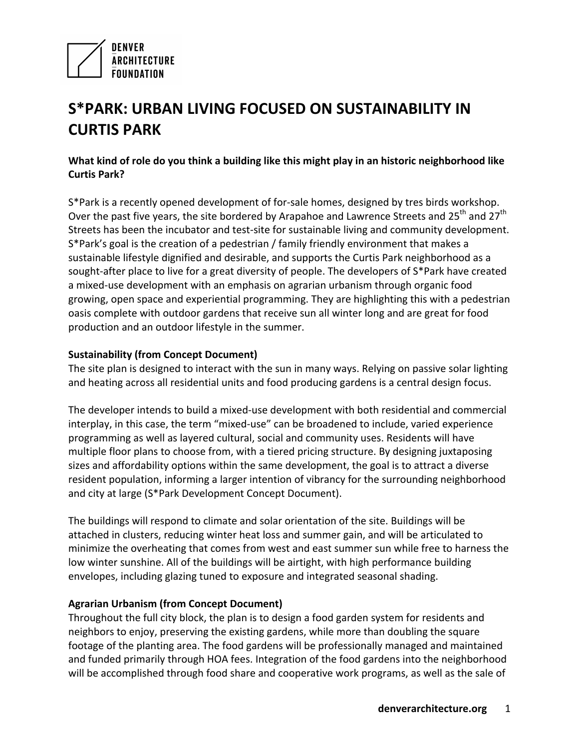

# **S\*PARK: URBAN LIVING FOCUSED ON SUSTAINABILITY IN CURTIS PARK**

## What kind of role do you think a building like this might play in an historic neighborhood like **Curtis Park?**

S\*Park is a recently opened development of for-sale homes, designed by tres birds workshop. Over the past five years, the site bordered by Arapahoe and Lawrence Streets and 25<sup>th</sup> and 27<sup>th</sup> Streets has been the incubator and test-site for sustainable living and community development.  $S*$ Park's goal is the creation of a pedestrian / family friendly environment that makes a sustainable lifestyle dignified and desirable, and supports the Curtis Park neighborhood as a sought-after place to live for a great diversity of people. The developers of  $S*$ Park have created a mixed-use development with an emphasis on agrarian urbanism through organic food growing, open space and experiential programming. They are highlighting this with a pedestrian oasis complete with outdoor gardens that receive sun all winter long and are great for food production and an outdoor lifestyle in the summer.

### **Sustainability (from Concept Document)**

The site plan is designed to interact with the sun in many ways. Relying on passive solar lighting and heating across all residential units and food producing gardens is a central design focus.

The developer intends to build a mixed-use development with both residential and commercial interplay, in this case, the term "mixed-use" can be broadened to include, varied experience programming as well as layered cultural, social and community uses. Residents will have multiple floor plans to choose from, with a tiered pricing structure. By designing juxtaposing sizes and affordability options within the same development, the goal is to attract a diverse resident population, informing a larger intention of vibrancy for the surrounding neighborhood and city at large (S\*Park Development Concept Document).

The buildings will respond to climate and solar orientation of the site. Buildings will be attached in clusters, reducing winter heat loss and summer gain, and will be articulated to minimize the overheating that comes from west and east summer sun while free to harness the low winter sunshine. All of the buildings will be airtight, with high performance building envelopes, including glazing tuned to exposure and integrated seasonal shading.

#### **Agrarian Urbanism (from Concept Document)**

Throughout the full city block, the plan is to design a food garden system for residents and neighbors to enjoy, preserving the existing gardens, while more than doubling the square footage of the planting area. The food gardens will be professionally managed and maintained and funded primarily through HOA fees. Integration of the food gardens into the neighborhood will be accomplished through food share and cooperative work programs, as well as the sale of